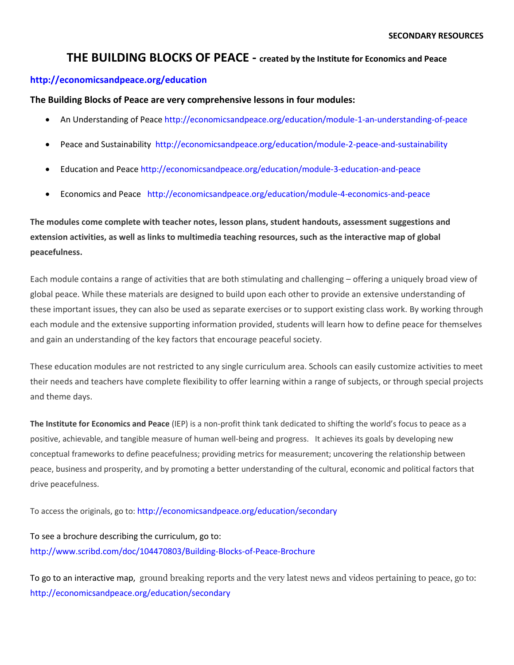## **THE BUILDING BLOCKS OF PEACE - created by the Institute for Economics and Peace**

## **<http://economicsandpeace.org/education>**

**The Building Blocks of Peace are very comprehensive lessons in four modules:** 

- An Understanding of Peace <http://economicsandpeace.org/education/module-1-an-understanding-of-peace>
- Peace and Sustainability <http://economicsandpeace.org/education/module-2-peace-and-sustainability>
- Education and Peace <http://economicsandpeace.org/education/module-3-education-and-peace>
- Economics and Peace <http://economicsandpeace.org/education/module-4-economics-and-peace>

**The modules come complete with teacher notes, lesson plans, student handouts, assessment suggestions and extension activities, as well as links to multimedia teaching resources, such as the interactive map of global peacefulness.**

Each module contains a range of activities that are both stimulating and challenging – offering a uniquely broad view of global peace. While these materials are designed to build upon each other to provide an extensive understanding of these important issues, they can also be used as separate exercises or to support existing class work. By working through each module and the extensive supporting information provided, students will learn how to define peace for themselves and gain an understanding of the key factors that encourage peaceful society.

These education modules are not restricted to any single curriculum area. Schools can easily customize activities to meet their needs and teachers have complete flexibility to offer learning within a range of subjects, or through special projects and theme days.

**The Institute for Economics and Peace** (IEP) is a non-profit think tank dedicated to shifting the world's focus to peace as a positive, achievable, and tangible measure of human well-being and progress. It achieves its goals by developing new conceptual frameworks to define peacefulness; providing metrics for measurement; uncovering the relationship between peace, business and prosperity, and by promoting a better understanding of the cultural, economic and political factors that drive peacefulness.

To access the originals, go to: <http://economicsandpeace.org/education/secondary>

To see a brochure describing the curriculum, go to: <http://www.scribd.com/doc/104470803/Building-Blocks-of-Peace-Brochure>

To go to an interactive map, ground breaking reports and the very latest news and videos pertaining to peace, go to: <http://economicsandpeace.org/education/secondary>